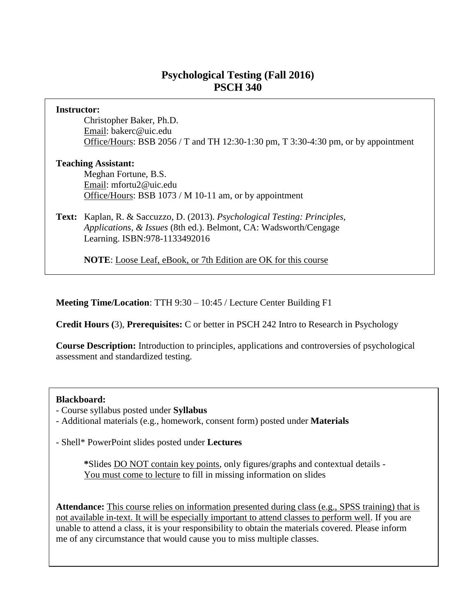# **Psychological Testing (Fall 2016) PSCH 340**

| <b>Instructor:</b>         |                                                                                    |  |  |
|----------------------------|------------------------------------------------------------------------------------|--|--|
|                            | Christopher Baker, Ph.D.                                                           |  |  |
|                            | Email: bakerc@uic.edu                                                              |  |  |
|                            | Office/Hours: BSB 2056 / T and TH 12:30-1:30 pm, T 3:30-4:30 pm, or by appointment |  |  |
| <b>Teaching Assistant:</b> |                                                                                    |  |  |
|                            | Meghan Fortune, B.S.                                                               |  |  |
|                            | Email: mfortu2@uic.edu                                                             |  |  |
|                            | Office/Hours: BSB 1073 / M 10-11 am, or by appointment                             |  |  |
|                            | Text: Kaplan, R. & Saccuzzo, D. (2013). Psychological Testing: Principles,         |  |  |
|                            | Applications, & Issues (8th ed.). Belmont, CA: Wadsworth/Cengage                   |  |  |
|                            | Learning. ISBN:978-1133492016                                                      |  |  |
|                            |                                                                                    |  |  |
|                            | <b>NOTE:</b> Loose Leaf, eBook, or 7th Edition are OK for this course              |  |  |
|                            |                                                                                    |  |  |

**Meeting Time/Location**: TTH 9:30 – 10:45 / Lecture Center Building F1

**Credit Hours (**3), **Prerequisites:** C or better in PSCH 242 Intro to Research in Psychology

**Course Description:** Introduction to principles, applications and controversies of psychological assessment and standardized testing.

#### **Blackboard:**

- Course syllabus posted under **Syllabus**

- Additional materials (e.g., homework, consent form) posted under **Materials** 

- Shell\* PowerPoint slides posted under **Lectures**

**\***Slides DO NOT contain key points, only figures/graphs and contextual details - You must come to lecture to fill in missing information on slides

**Attendance:** This course relies on information presented during class (e.g., SPSS training) that is not available in-text. It will be especially important to attend classes to perform well. If you are unable to attend a class, it is your responsibility to obtain the materials covered. Please inform me of any circumstance that would cause you to miss multiple classes.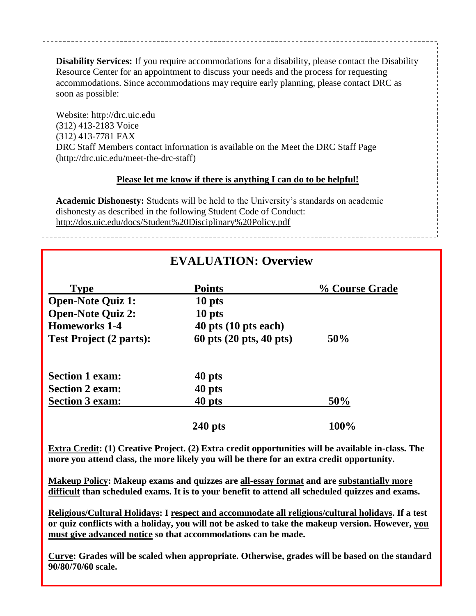**Disability Services:** If you require accommodations for a disability, please contact the Disability Resource Center for an appointment to discuss your needs and the process for requesting accommodations. Since accommodations may require early planning, please contact DRC as soon as possible:

Website: http://drc.uic.edu (312) 413-2183 Voice (312) 413-7781 FAX DRC Staff Members contact information is available on the Meet the DRC Staff Page (http://drc.uic.edu/meet-the-drc-staff)

#### **Please let me know if there is anything I can do to be helpful!**

**Academic Dishonesty:** Students will be held to the University's standards on academic dishonesty as described in the following Student Code of Conduct: http://dos.uic.edu/docs/Student%20Disciplinary%20Policy.pdf

# **EVALUATION: Overview**

| <b>Type</b>                    | <b>Points</b>            | % Course Grade |
|--------------------------------|--------------------------|----------------|
| <b>Open-Note Quiz 1:</b>       | 10 pts                   |                |
| <b>Open-Note Quiz 2:</b>       | 10 pts                   |                |
| <b>Homeworks 1-4</b>           | $40$ pts $(10$ pts each) |                |
| <b>Test Project (2 parts):</b> | 60 pts (20 pts, 40 pts)  | 50%            |
| <b>Section 1 exam:</b>         | 40 pts                   |                |
| <b>Section 2 exam:</b>         | 40 pts                   |                |
| <b>Section 3 exam:</b>         | 40 pts                   | 50%            |
|                                | $240$ pts                | 100%           |

**Extra Credit: (1) Creative Project. (2) Extra credit opportunities will be available in-class. The more you attend class, the more likely you will be there for an extra credit opportunity.**

**Makeup Policy: Makeup exams and quizzes are all-essay format and are substantially more difficult than scheduled exams. It is to your benefit to attend all scheduled quizzes and exams.**

**Religious/Cultural Holidays: I respect and accommodate all religious/cultural holidays. If a test or quiz conflicts with a holiday, you will not be asked to take the makeup version. However, you must give advanced notice so that accommodations can be made.**

**Curve: Grades will be scaled when appropriate. Otherwise, grades will be based on the standard 90/80/70/60 scale.**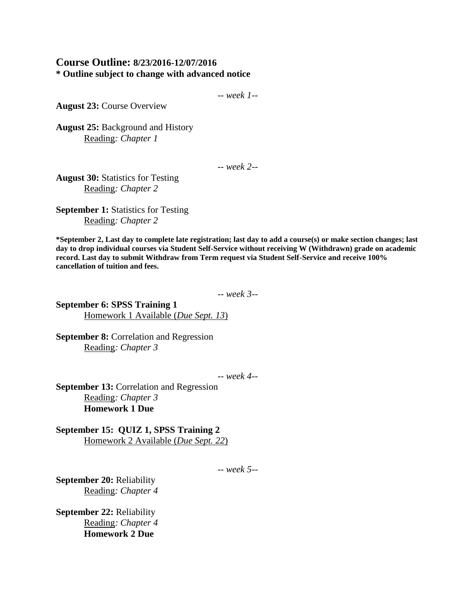#### **Course Outline: 8/23/2016-12/07/2016 \* Outline subject to change with advanced notice**

-- *week 1--*

**August 23:** Course Overview

**August 25:** Background and History Reading*: Chapter 1*

-- *week 2--*

**August 30:** Statistics for Testing Reading*: Chapter 2* 

**September 1:** Statistics for Testing Reading*: Chapter 2* 

**\*September 2, Last day to complete late registration; last day to add a course(s) or make section changes; last day to drop individual courses via Student Self-Service without receiving W (Withdrawn) grade on academic record. Last day to submit Withdraw from Term request via Student Self-Service and receive 100% cancellation of tuition and fees.**

-- *week 3--*

**September 6: SPSS Training 1** Homework 1 Available (*Due Sept. 13*)

**September 8:** Correlation and Regression Reading*: Chapter 3* 

-- *week 4--*

**September 13:** Correlation and Regression Reading*: Chapter 3*  **Homework 1 Due**

**September 15: QUIZ 1, SPSS Training 2** Homework 2 Available (*Due Sept. 22*)

-- *week 5--*

**September 20:** Reliability Reading*: Chapter 4*

**September 22:** Reliability Reading*: Chapter 4*  **Homework 2 Due**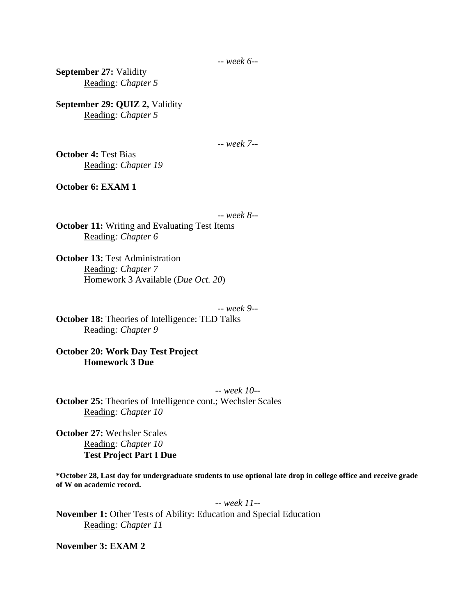-- *week 6--*

**September 27:** Validity Reading*: Chapter 5*

**September 29: QUIZ 2,** Validity Reading*: Chapter 5*

-- *week 7--*

**October 4:** Test Bias Reading*: Chapter 19*

**October 6: EXAM 1**

-- *week 8--*

**October 11:** Writing and Evaluating Test Items Reading*: Chapter 6* 

**October 13: Test Administration** Reading*: Chapter 7* Homework 3 Available (*Due Oct. 20*)

-- *week 9--*

**October 18:** Theories of Intelligence: TED Talks Reading*: Chapter 9*

**October 20: Work Day Test Project Homework 3 Due**

-- *week 10--* **October 25:** Theories of Intelligence cont.; Wechsler Scales Reading*: Chapter 10*

**October 27:** Wechsler Scales Reading*: Chapter 10* **Test Project Part I Due**

**\*October 28, Last day for undergraduate students to use optional late drop in college office and receive grade of W on academic record.**

-- *week 11--* **November 1:** Other Tests of Ability: Education and Special Education Reading*: Chapter 11*

**November 3: EXAM 2**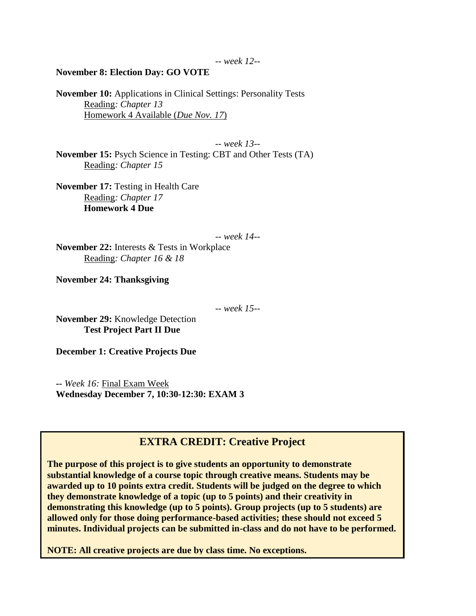#### **November 8: Election Day: GO VOTE**

**November 10:** Applications in Clinical Settings: Personality Tests Reading*: Chapter 13* Homework 4 Available (*Due Nov. 17*)

-- *week 13--* **November 15:** Psych Science in Testing: CBT and Other Tests (TA) Reading*: Chapter 15*

**November 17:** Testing in Health Care Reading*: Chapter 17*  **Homework 4 Due**

-- *week 14--*

**November 22:** Interests & Tests in Workplace Reading*: Chapter 16 & 18* 

**November 24: Thanksgiving**

-- *week 15--*

**November 29:** Knowledge Detection **Test Project Part II Due**

**December 1: Creative Projects Due**

**--** *Week 16:* Final Exam Week **Wednesday December 7, 10:30-12:30: EXAM 3**

### **EXTRA CREDIT: Creative Project**

**The purpose of this project is to give students an opportunity to demonstrate substantial knowledge of a course topic through creative means. Students may be awarded up to 10 points extra credit. Students will be judged on the degree to which they demonstrate knowledge of a topic (up to 5 points) and their creativity in demonstrating this knowledge (up to 5 points). Group projects (up to 5 students) are allowed only for those doing performance-based activities; these should not exceed 5 minutes. Individual projects can be submitted in-class and do not have to be performed.**

**NOTE: All creative projects are due by class time. No exceptions.**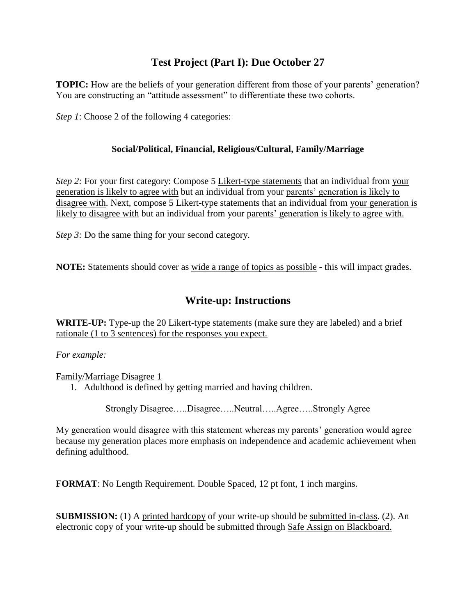# **Test Project (Part I): Due October 27**

**TOPIC:** How are the beliefs of your generation different from those of your parents' generation? You are constructing an "attitude assessment" to differentiate these two cohorts.

*Step 1*: Choose 2 of the following 4 categories:

### **Social/Political, Financial, Religious/Cultural, Family/Marriage**

*Step 2:* For your first category: Compose 5 Likert-type statements that an individual from your generation is likely to agree with but an individual from your parents' generation is likely to disagree with. Next, compose 5 Likert-type statements that an individual from your generation is likely to disagree with but an individual from your parents' generation is likely to agree with.

*Step 3:* Do the same thing for your second category.

**NOTE:** Statements should cover as wide a range of topics as possible - this will impact grades.

# **Write-up: Instructions**

**WRITE-UP:** Type-up the 20 Likert-type statements (make sure they are labeled) and a brief rationale (1 to 3 sentences) for the responses you expect.

*For example:*

Family/Marriage Disagree 1

1. Adulthood is defined by getting married and having children.

Strongly Disagree…..Disagree…..Neutral…..Agree…..Strongly Agree

My generation would disagree with this statement whereas my parents' generation would agree because my generation places more emphasis on independence and academic achievement when defining adulthood.

**FORMAT**: No Length Requirement. Double Spaced, 12 pt font, 1 inch margins.

**SUBMISSION:** (1) A printed hardcopy of your write-up should be submitted in-class. (2). An electronic copy of your write-up should be submitted through Safe Assign on Blackboard.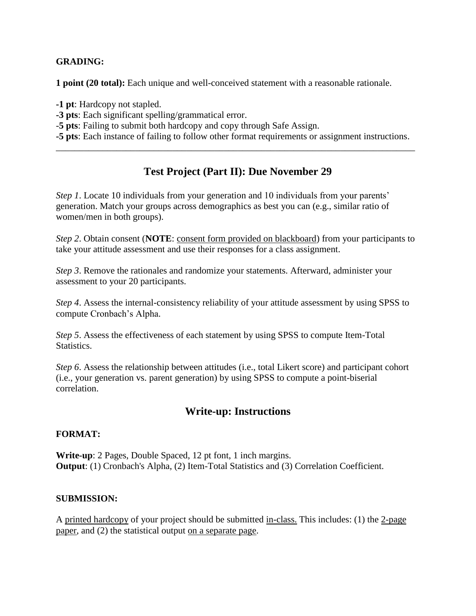#### **GRADING:**

**1 point (20 total):** Each unique and well-conceived statement with a reasonable rationale.

**-1 pt**: Hardcopy not stapled.

- **-3 pts**: Each significant spelling/grammatical error.
- -**5 pts**: Failing to submit both hardcopy and copy through Safe Assign.

**-5 pts**: Each instance of failing to follow other format requirements or assignment instructions. \_\_\_\_\_\_\_\_\_\_\_\_\_\_\_\_\_\_\_\_\_\_\_\_\_\_\_\_\_\_\_\_\_\_\_\_\_\_\_\_\_\_\_\_\_\_\_\_\_\_\_\_\_\_\_\_\_\_\_\_\_\_\_\_\_\_\_\_\_\_\_\_\_\_\_\_\_

### **Test Project (Part II): Due November 29**

*Step 1*. Locate 10 individuals from your generation and 10 individuals from your parents' generation. Match your groups across demographics as best you can (e.g., similar ratio of women/men in both groups).

*Step 2.* Obtain consent (**NOTE**: consent form provided on blackboard) from your participants to take your attitude assessment and use their responses for a class assignment.

*Step 3*. Remove the rationales and randomize your statements. Afterward, administer your assessment to your 20 participants.

*Step 4*. Assess the internal-consistency reliability of your attitude assessment by using SPSS to compute Cronbach's Alpha.

*Step 5*. Assess the effectiveness of each statement by using SPSS to compute Item-Total Statistics.

*Step 6*. Assess the relationship between attitudes (i.e., total Likert score) and participant cohort (i.e., your generation vs. parent generation) by using SPSS to compute a point-biserial correlation.

### **Write-up: Instructions**

### **FORMAT:**

**Write-up**: 2 Pages, Double Spaced, 12 pt font, 1 inch margins. **Output**: (1) Cronbach's Alpha, (2) Item-Total Statistics and (3) Correlation Coefficient.

#### **SUBMISSION:**

A printed hardcopy of your project should be submitted in-class. This includes: (1) the 2-page paper, and (2) the statistical output on a separate page.